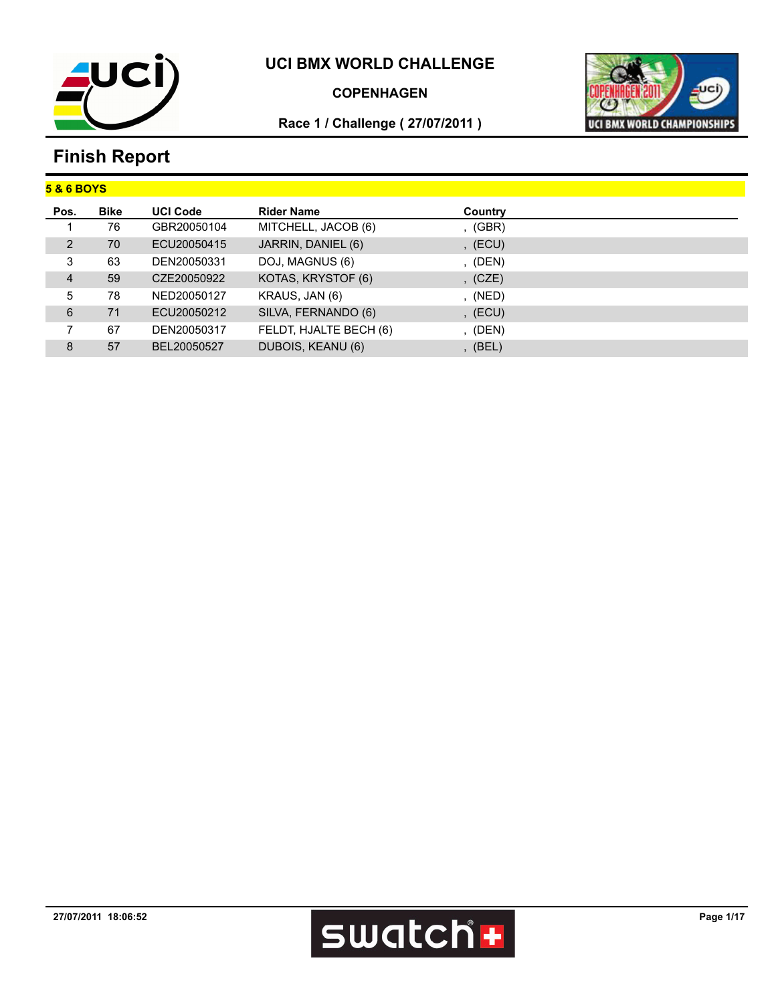

#### **COPENHAGEN**



### **Race 1 / Challenge ( 27/07/2011 )**

| <b>5 &amp; 6 BOYS</b> |             |                 |                        |         |  |
|-----------------------|-------------|-----------------|------------------------|---------|--|
| Pos.                  | <b>Bike</b> | <b>UCI Code</b> | <b>Rider Name</b>      | Country |  |
|                       | 76          | GBR20050104     | MITCHELL, JACOB (6)    | ,(GBR)  |  |
| 2                     | 70          | ECU20050415     | JARRIN, DANIEL (6)     | , (ECU) |  |
| 3                     | 63          | DEN20050331     | DOJ, MAGNUS (6)        | (DEN)   |  |
| $\overline{4}$        | 59          | CZE20050922     | KOTAS, KRYSTOF (6)     | , (CZE) |  |
| 5                     | 78          | NED20050127     | KRAUS, JAN (6)         | , (NED) |  |
| 6                     | 71          | ECU20050212     | SILVA, FERNANDO (6)    | , (ECU) |  |
|                       | 67          | DEN20050317     | FELDT, HJALTE BECH (6) | (DEN)   |  |
| 8                     | 57          | BEL20050527     | DUBOIS, KEANU (6)      | (BEL)   |  |

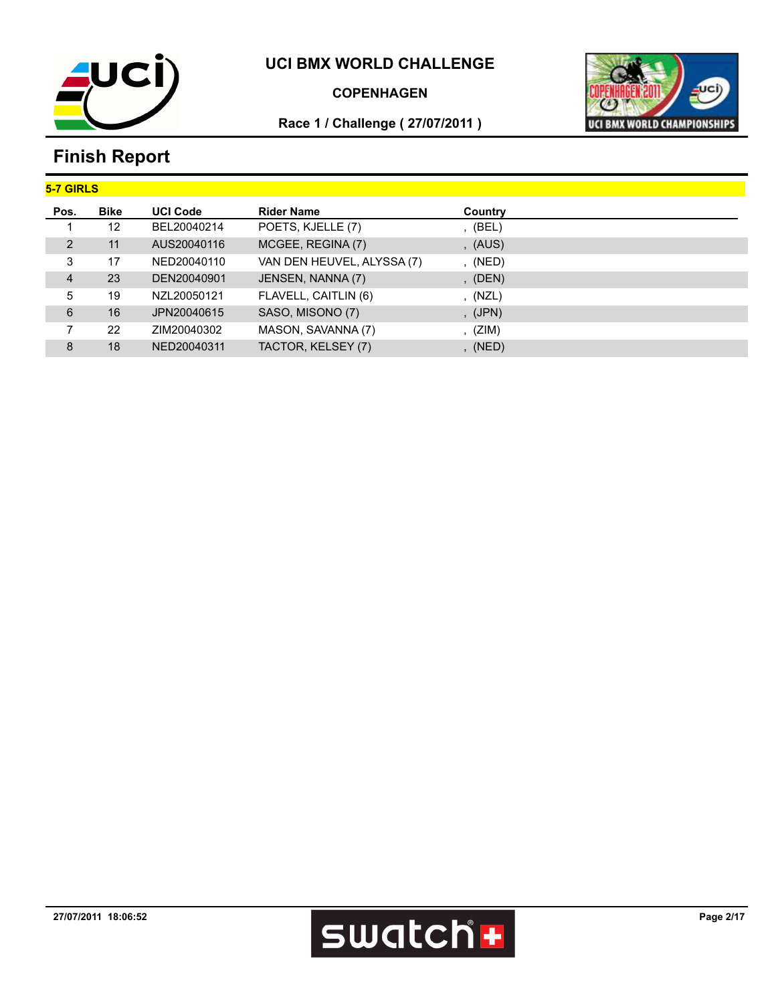

#### **COPENHAGEN**



## **Race 1 / Challenge ( 27/07/2011 )**

| 5-7 GIRLS      |             |                 |                            |           |  |
|----------------|-------------|-----------------|----------------------------|-----------|--|
| Pos.           | <b>Bike</b> | <b>UCI Code</b> | <b>Rider Name</b>          | Country   |  |
|                | 12          | BEL20040214     | POETS, KJELLE (7)          | , (BEL)   |  |
| 2              | 11          | AUS20040116     | MCGEE, REGINA (7)          | , (AUS)   |  |
| 3              | 17          | NED20040110     | VAN DEN HEUVEL, ALYSSA (7) | , (NED)   |  |
| $\overline{4}$ | 23          | DEN20040901     | JENSEN, NANNA (7)          | (DEN)     |  |
| 5              | 19          | NZL20050121     | FLAVELL, CAITLIN (6)       | , (NZL)   |  |
| 6              | 16          | JPN20040615     | SASO, MISONO (7)           | , (JPN)   |  |
| 7              | 22          | ZIM20040302     | MASON, SAVANNA (7)         | , $(ZIM)$ |  |
| 8              | 18          | NED20040311     | TACTOR, KELSEY (7)         | (NED)     |  |

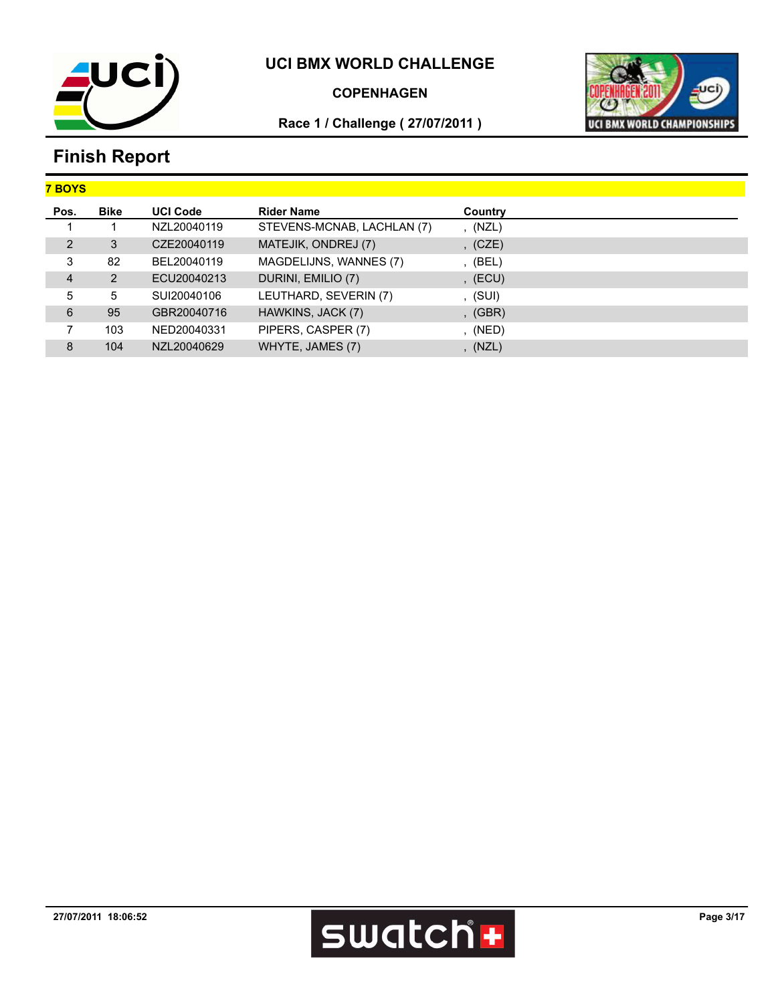

#### **COPENHAGEN**



## **Race 1 / Challenge ( 27/07/2011 )**

| <b>7 BOYS</b>  |             |                 |                            |         |
|----------------|-------------|-----------------|----------------------------|---------|
| Pos.           | <b>Bike</b> | <b>UCI Code</b> | <b>Rider Name</b>          | Country |
|                |             | NZL20040119     | STEVENS-MCNAB, LACHLAN (7) | , (NZL) |
| 2              | 3           | CZE20040119     | MATEJIK, ONDREJ (7)        | , (CZE) |
| 3              | 82          | BEL20040119     | MAGDELIJNS, WANNES (7)     | (BEL)   |
| $\overline{4}$ | 2           | ECU20040213     | DURINI, EMILIO (7)         | , (ECU) |
| 5              | 5           | SUI20040106     | LEUTHARD, SEVERIN (7)      | , (SUI) |
| 6              | 95          | GBR20040716     | HAWKINS, JACK (7)          | , (GBR) |
|                | 103         | NED20040331     | PIPERS, CASPER (7)         | (NED)   |
| 8              | 104         | NZL20040629     | WHYTE, JAMES (7)           | (NZL)   |

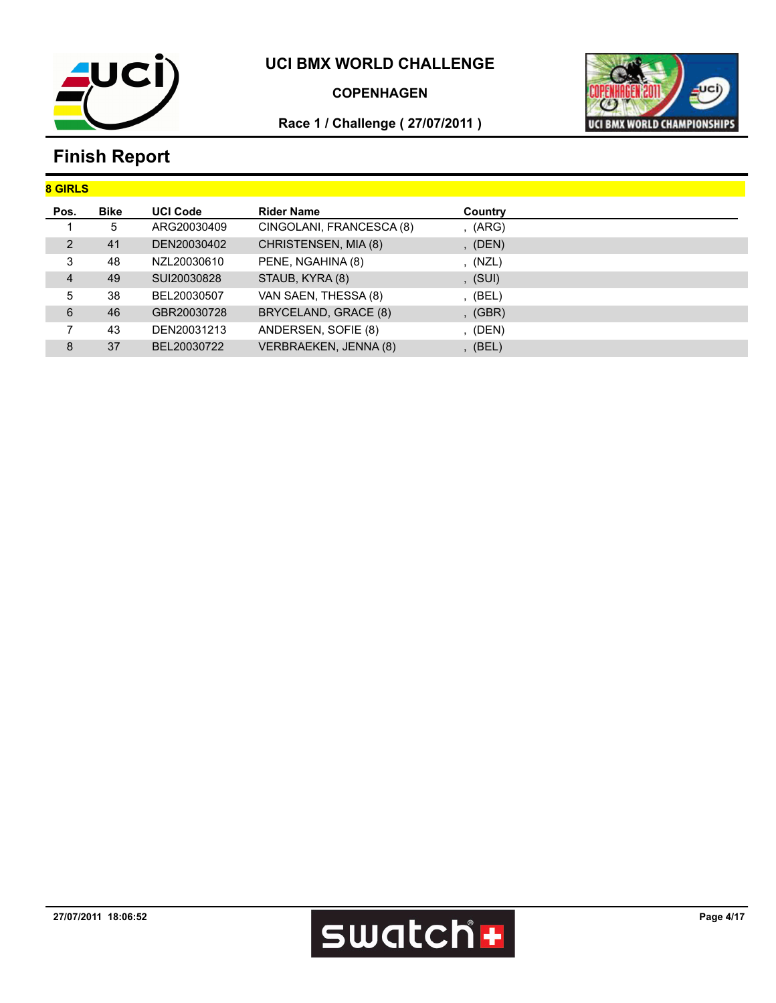

#### **COPENHAGEN**



### **Race 1 / Challenge ( 27/07/2011 )**

| <b>8 GIRLS</b> |             |                 |                          |         |  |
|----------------|-------------|-----------------|--------------------------|---------|--|
| Pos.           | <b>Bike</b> | <b>UCI Code</b> | <b>Rider Name</b>        | Country |  |
|                | 5           | ARG20030409     | CINGOLANI, FRANCESCA (8) | , (ARG) |  |
| $\overline{2}$ | 41          | DEN20030402     | CHRISTENSEN, MIA (8)     | , (DEN) |  |
| 3              | 48          | NZL20030610     | PENE, NGAHINA (8)        | , (NZL) |  |
| 4              | 49          | SUI20030828     | STAUB, KYRA (8)          | , (SUI) |  |
| 5              | 38          | BEL20030507     | VAN SAEN, THESSA (8)     | (BEL)   |  |
| 6              | 46          | GBR20030728     | BRYCELAND, GRACE (8)     | , (GBR) |  |
|                | 43          | DEN20031213     | ANDERSEN, SOFIE (8)      | (DEN)   |  |
| 8              | 37          | BEL20030722     | VERBRAEKEN, JENNA (8)    | (BEL)   |  |

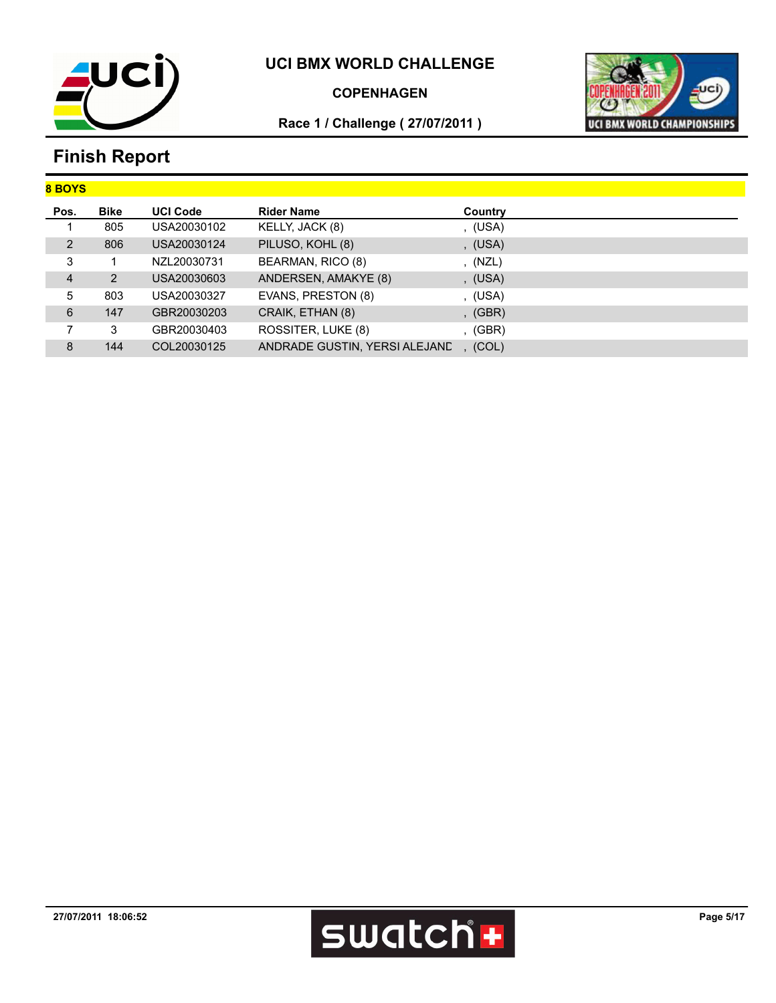

#### **COPENHAGEN**



## **Race 1 / Challenge ( 27/07/2011 )**

| 8 BOYS         |             |                 |                               |         |
|----------------|-------------|-----------------|-------------------------------|---------|
| Pos.           | <b>Bike</b> | <b>UCI Code</b> | <b>Rider Name</b>             | Country |
|                | 805         | USA20030102     | KELLY, JACK (8)               | , (USA) |
| 2              | 806         | USA20030124     | PILUSO, KOHL (8)              | , (USA) |
| 3              |             | NZL20030731     | BEARMAN, RICO (8)             | , (NZL) |
| $\overline{4}$ | 2           | USA20030603     | ANDERSEN, AMAKYE (8)          | , (USA) |
| 5              | 803         | USA20030327     | EVANS, PRESTON (8)            | , (USA) |
| 6              | 147         | GBR20030203     | CRAIK, ETHAN (8)              | , (GBR) |
|                | 3           | GBR20030403     | ROSSITER, LUKE (8)            | (GBR)   |
| 8              | 144         | COL20030125     | ANDRADE GUSTIN, YERSI ALEJAND | (COL)   |

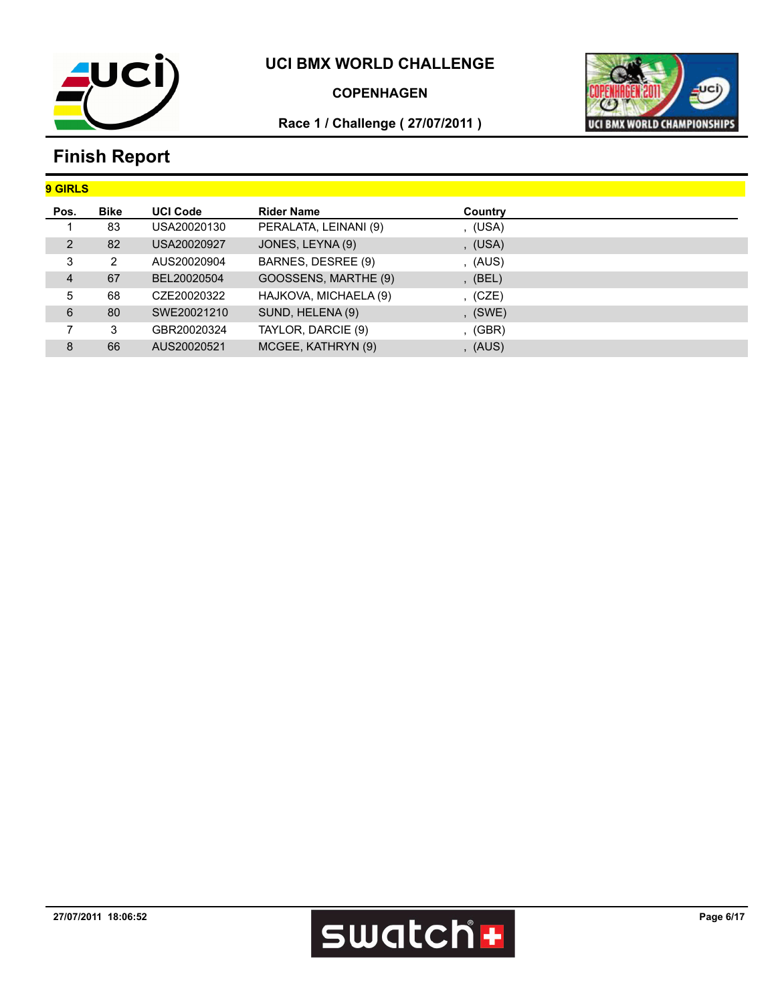

#### **COPENHAGEN**



### **Race 1 / Challenge ( 27/07/2011 )**

| <b>9 GIRLS</b> |             |                 |                       |         |  |
|----------------|-------------|-----------------|-----------------------|---------|--|
| Pos.           | <b>Bike</b> | <b>UCI Code</b> | <b>Rider Name</b>     | Country |  |
|                | 83          | USA20020130     | PERALATA, LEINANI (9) | , (USA) |  |
| 2              | 82          | USA20020927     | JONES, LEYNA (9)      | , (USA) |  |
| 3              | 2           | AUS20020904     | BARNES, DESREE (9)    | , (AUS) |  |
| $\overline{4}$ | 67          | BEL20020504     | GOOSSENS, MARTHE (9)  | , (BEL) |  |
| 5              | 68          | CZE20020322     | HAJKOVA, MICHAELA (9) | , (CZE) |  |
| 6              | 80          | SWE20021210     | SUND, HELENA (9)      | (SWE)   |  |
|                | 3           | GBR20020324     | TAYLOR, DARCIE (9)    | (GBR)   |  |
| 8              | 66          | AUS20020521     | MCGEE, KATHRYN (9)    | (AUS)   |  |

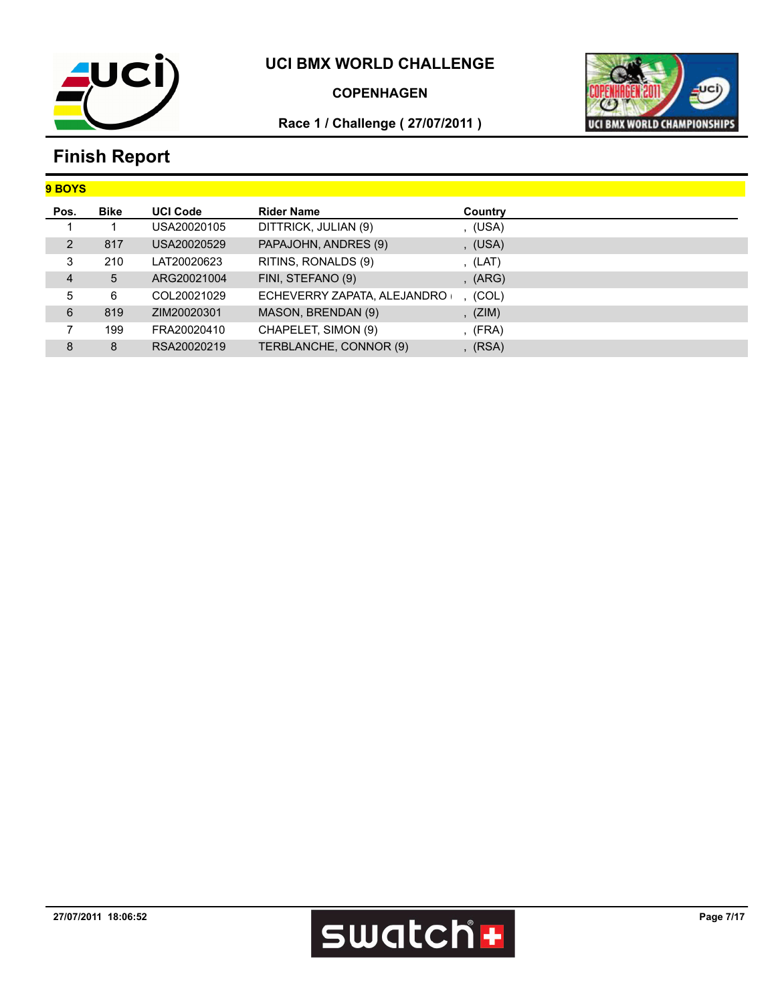

#### **COPENHAGEN**



### **Race 1 / Challenge ( 27/07/2011 )**

| <b>9 BOYS</b> |             |                 |                             |           |
|---------------|-------------|-----------------|-----------------------------|-----------|
| Pos.          | <b>Bike</b> | <b>UCI Code</b> | <b>Rider Name</b>           | Country   |
|               |             | USA20020105     | DITTRICK, JULIAN (9)        | , (USA)   |
| 2             | 817         | USA20020529     | PAPAJOHN, ANDRES (9)        | , (USA)   |
| 3             | 210         | LAT20020623     | RITINS, RONALDS (9)         | , (LAT)   |
| 4             | 5           | ARG20021004     | FINI, STEFANO (9)           | (ARG)     |
| 5             | 6           | COL20021029     | ECHEVERRY ZAPATA, ALEJANDRO | (COL)     |
| 6             | 819         | ZIM20020301     | MASON, BRENDAN (9)          | , $(ZIM)$ |
|               | 199         | FRA20020410     | CHAPELET, SIMON (9)         | (FRA)     |
| 8             | 8           | RSA20020219     | TERBLANCHE, CONNOR (9)      | (RSA)     |

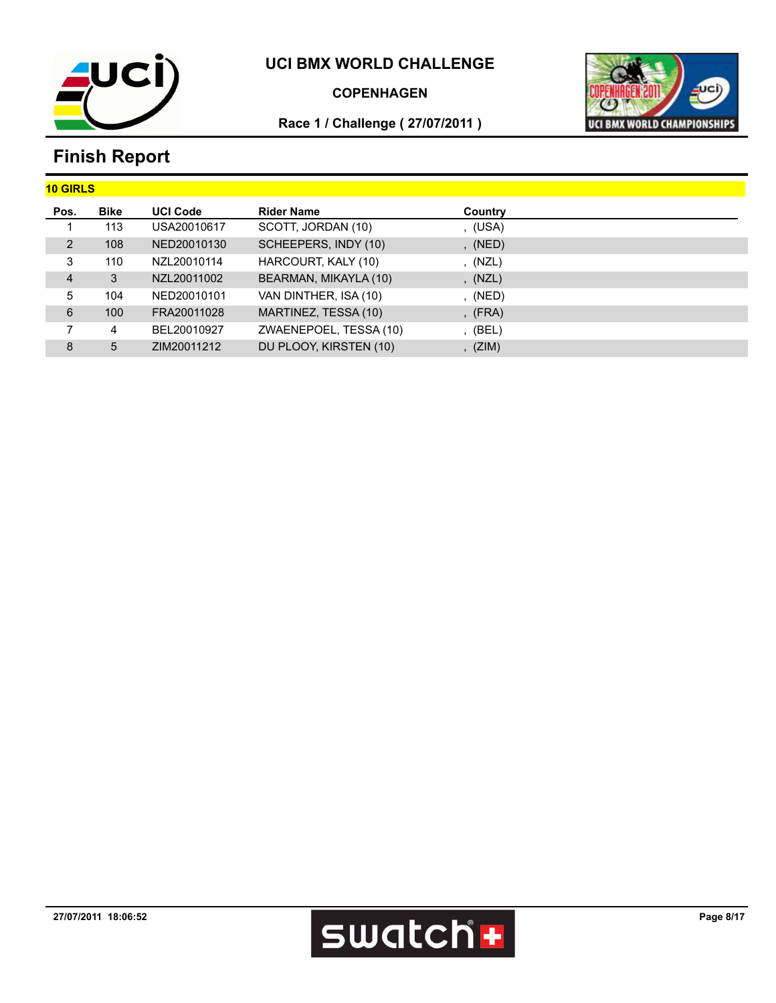

#### **COPENHAGEN**



### **Race 1 / Challenge ( 27/07/2011 )**

| <b>10 GIRLS</b> |             |                 |                        |         |  |
|-----------------|-------------|-----------------|------------------------|---------|--|
| Pos.            | <b>Bike</b> | <b>UCI Code</b> | <b>Rider Name</b>      | Country |  |
|                 | 113         | USA20010617     | SCOTT, JORDAN (10)     | , (USA) |  |
| $\overline{2}$  | 108         | NED20010130     | SCHEEPERS, INDY (10)   | , (NED) |  |
| 3               | 110         | NZL20010114     | HARCOURT, KALY (10)    | , (NZL) |  |
| $\overline{4}$  | 3           | NZL20011002     | BEARMAN, MIKAYLA (10)  | , (NZL) |  |
| 5               | 104         | NED20010101     | VAN DINTHER, ISA (10)  | , (NED) |  |
| 6               | 100         | FRA20011028     | MARTINEZ, TESSA (10)   | (FRA)   |  |
|                 | 4           | BEL20010927     | ZWAENEPOEL, TESSA (10) | (BEL)   |  |
| 8               | 5           | ZIM20011212     | DU PLOOY, KIRSTEN (10) | (ZIM)   |  |

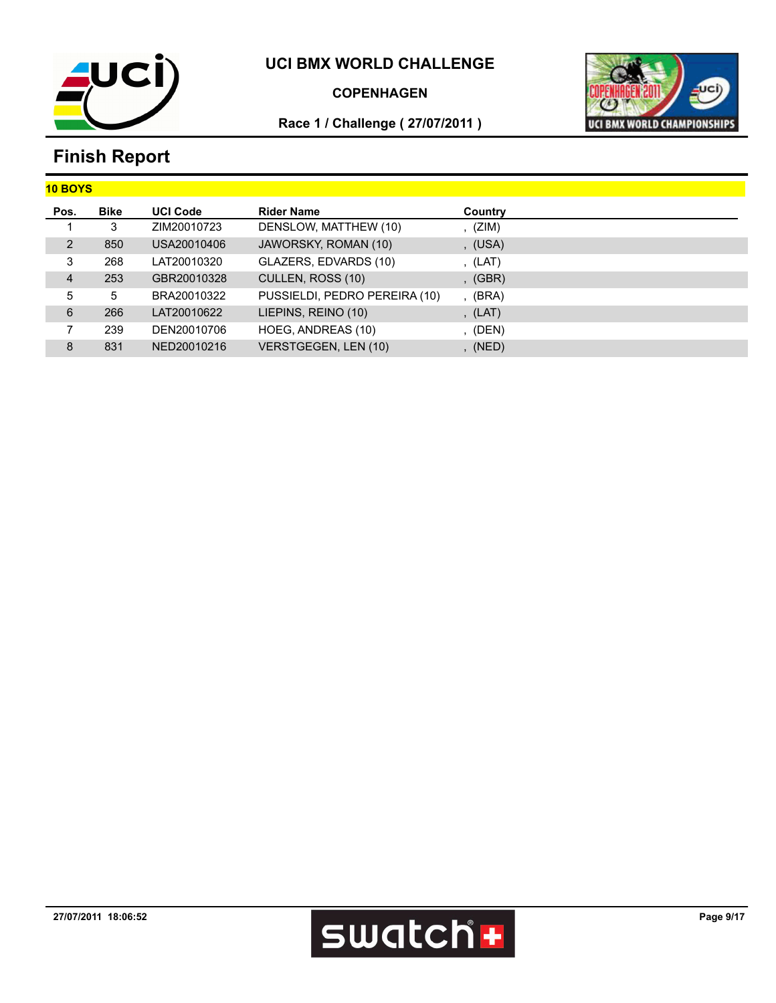

#### **COPENHAGEN**



### **Race 1 / Challenge ( 27/07/2011 )**

| <b>10 BOYS</b> |             |                 |                               |           |
|----------------|-------------|-----------------|-------------------------------|-----------|
| Pos.           | <b>Bike</b> | <b>UCI Code</b> | <b>Rider Name</b>             | Country   |
|                | 3           | ZIM20010723     | DENSLOW, MATTHEW (10)         | , $(ZIM)$ |
| 2              | 850         | USA20010406     | JAWORSKY, ROMAN (10)          | , (USA)   |
| 3              | 268         | LAT20010320     | GLAZERS, EDVARDS (10)         | , (LAT)   |
| $\overline{4}$ | 253         | GBR20010328     | CULLEN, ROSS (10)             | (GBR)     |
| 5              | 5           | BRA20010322     | PUSSIELDI, PEDRO PEREIRA (10) | (BRA)     |
| 6              | 266         | LAT20010622     | LIEPINS, REINO (10)           | , (LAT)   |
|                | 239         | DEN20010706     | HOEG, ANDREAS (10)            | (DEN)     |
| 8              | 831         | NED20010216     | VERSTGEGEN, LEN (10)          | (NED)     |

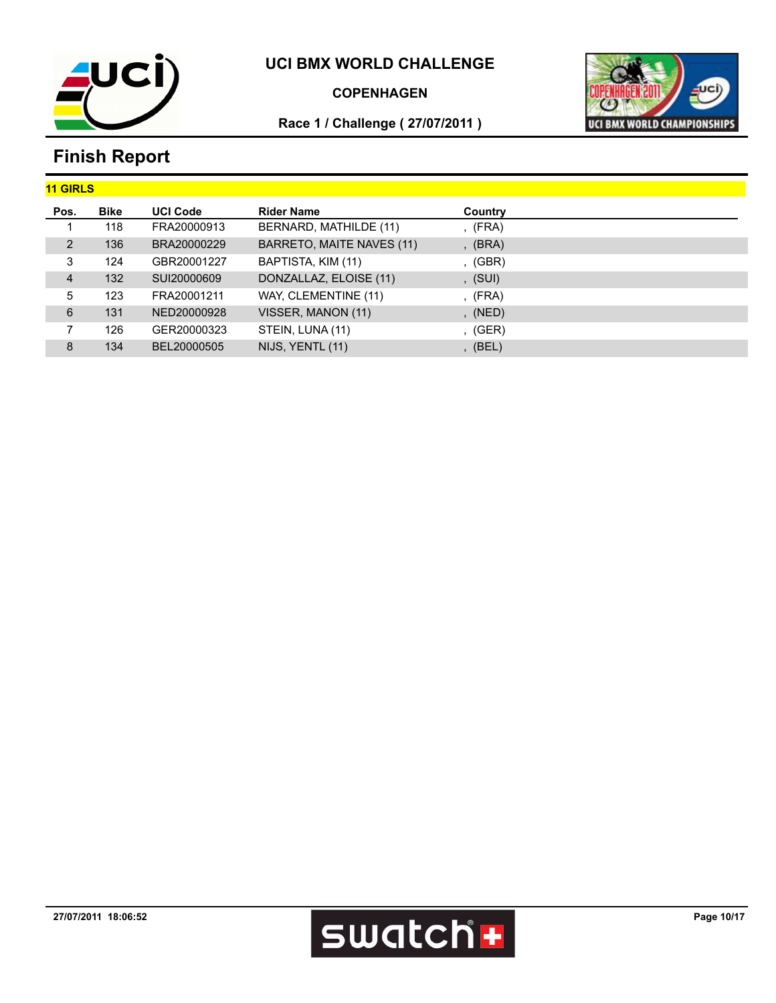

#### **COPENHAGEN**



### **Race 1 / Challenge ( 27/07/2011 )**

| <b>11 GIRLS</b> |             |                 |                           |         |  |
|-----------------|-------------|-----------------|---------------------------|---------|--|
| Pos.            | <b>Bike</b> | <b>UCI Code</b> | <b>Rider Name</b>         | Country |  |
|                 | 118         | FRA20000913     | BERNARD, MATHILDE (11)    | , (FRA) |  |
| 2               | 136         | BRA20000229     | BARRETO, MAITE NAVES (11) | (BRA)   |  |
| 3               | 124         | GBR20001227     | BAPTISTA, KIM (11)        | (GBR)   |  |
| $\overline{4}$  | 132         | SUI20000609     | DONZALLAZ, ELOISE (11)    | , (SUI) |  |
| 5               | 123         | FRA20001211     | WAY, CLEMENTINE (11)      | , (FRA) |  |
| 6               | 131         | NED20000928     | VISSER, MANON (11)        | , (NED) |  |
|                 | 126         | GER20000323     | STEIN, LUNA (11)          | (GER)   |  |
| 8               | 134         | BEL20000505     | NIJS, YENTL (11)          | (BEL)   |  |

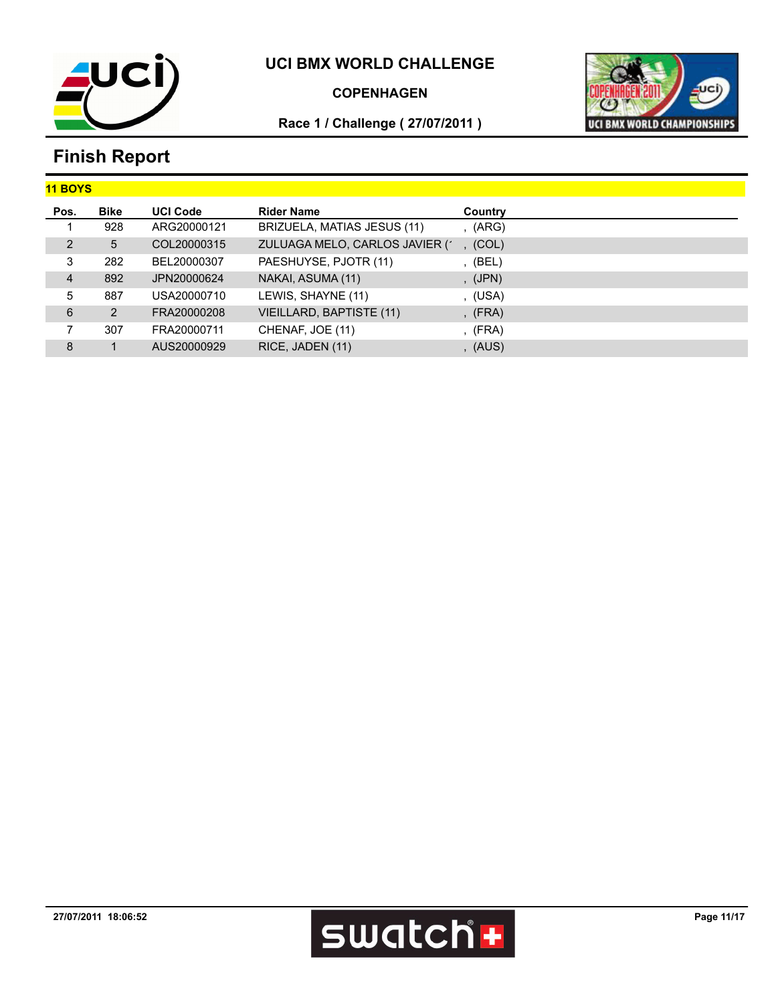

#### **COPENHAGEN**



## **Race 1 / Challenge ( 27/07/2011 )**

| <b>11 BOYS</b> |             |                 |                                |         |
|----------------|-------------|-----------------|--------------------------------|---------|
| Pos.           | <b>Bike</b> | <b>UCI Code</b> | <b>Rider Name</b>              | Country |
|                | 928         | ARG20000121     | BRIZUELA, MATIAS JESUS (11)    | , (ARG) |
| 2              | 5           | COL20000315     | ZULUAGA MELO, CARLOS JAVIER (* | (COL)   |
| 3              | 282         | BEL20000307     | PAESHUYSE, PJOTR (11)          | (BEL)   |
| $\overline{4}$ | 892         | JPN20000624     | NAKAI, ASUMA (11)              | , (JPN) |
| 5              | 887         | USA20000710     | LEWIS, SHAYNE (11)             | , (USA) |
| 6              | 2           | FRA20000208     | VIEILLARD, BAPTISTE (11)       | , (FRA) |
|                | 307         | FRA20000711     | CHENAF, JOE (11)               | (FRA)   |
| 8              |             | AUS20000929     | RICE, JADEN (11)               | (AUS)   |

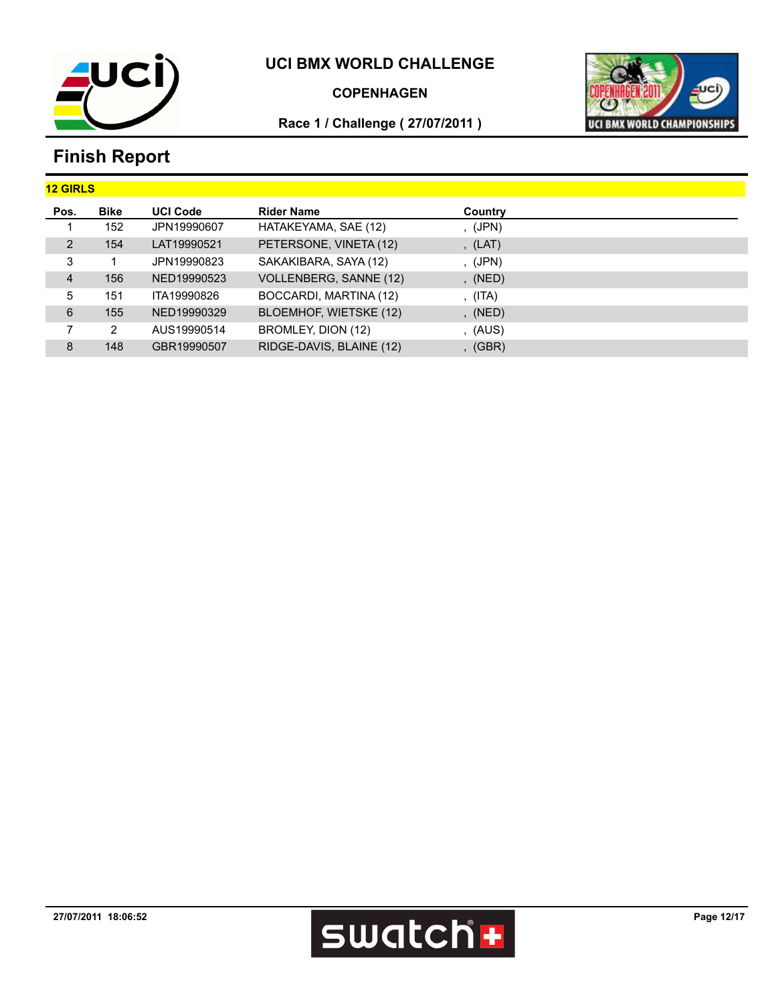

#### **COPENHAGEN**



### **Race 1 / Challenge ( 27/07/2011 )**

| <b>12 GIRLS</b> |             |                 |                               |           |  |
|-----------------|-------------|-----------------|-------------------------------|-----------|--|
| Pos.            | <b>Bike</b> | <b>UCI Code</b> | <b>Rider Name</b>             | Country   |  |
|                 | 152         | JPN19990607     | HATAKEYAMA, SAE (12)          | , $(JPN)$ |  |
| $\overline{2}$  | 154         | LAT19990521     | PETERSONE, VINETA (12)        | , (LAT)   |  |
| 3               |             | JPN19990823     | SAKAKIBARA, SAYA (12)         | , (JPN)   |  |
| $\overline{4}$  | 156         | NED19990523     | <b>VOLLENBERG, SANNE (12)</b> | (NED)     |  |
| 5.              | 151         | ITA19990826     | BOCCARDI, MARTINA (12)        | , (ITA)   |  |
| 6               | 155         | NED19990329     | BLOEMHOF, WIETSKE (12)        | , (NED)   |  |
|                 | 2           | AUS19990514     | BROMLEY, DION (12)            | , (AUS)   |  |
| 8               | 148         | GBR19990507     | RIDGE-DAVIS, BLAINE (12)      | (GBR)     |  |

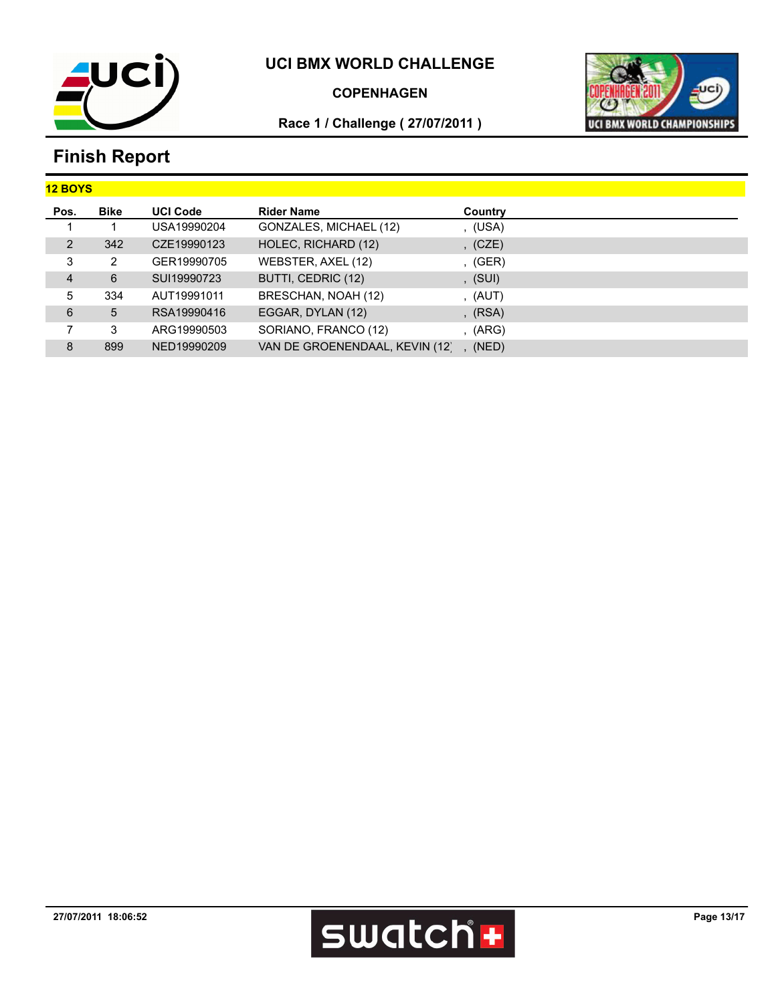

#### **COPENHAGEN**



## **Race 1 / Challenge ( 27/07/2011 )**

| <b>12 BOYS</b> |             |                 |                                |           |
|----------------|-------------|-----------------|--------------------------------|-----------|
| Pos.           | <b>Bike</b> | <b>UCI Code</b> | <b>Rider Name</b>              | Country   |
|                |             | USA19990204     | GONZALES, MICHAEL (12)         | , (USA)   |
| 2              | 342         | CZE19990123     | HOLEC, RICHARD (12)            | , (CZE)   |
| 3              | 2           | GER19990705     | WEBSTER, AXEL (12)             | , (GER)   |
| $\overline{4}$ | 6           | SUI19990723     | BUTTI, CEDRIC (12)             | , (SUI)   |
| 5.             | 334         | AUT19991011     | BRESCHAN, NOAH (12)            | , $(AUT)$ |
| 6              | 5           | RSA19990416     | EGGAR, DYLAN (12)              | , (RSA)   |
|                | 3           | ARG19990503     | SORIANO, FRANCO (12)           | , $(ARG)$ |
| 8              | 899         | NED19990209     | VAN DE GROENENDAAL, KEVIN (12) | (NED)     |

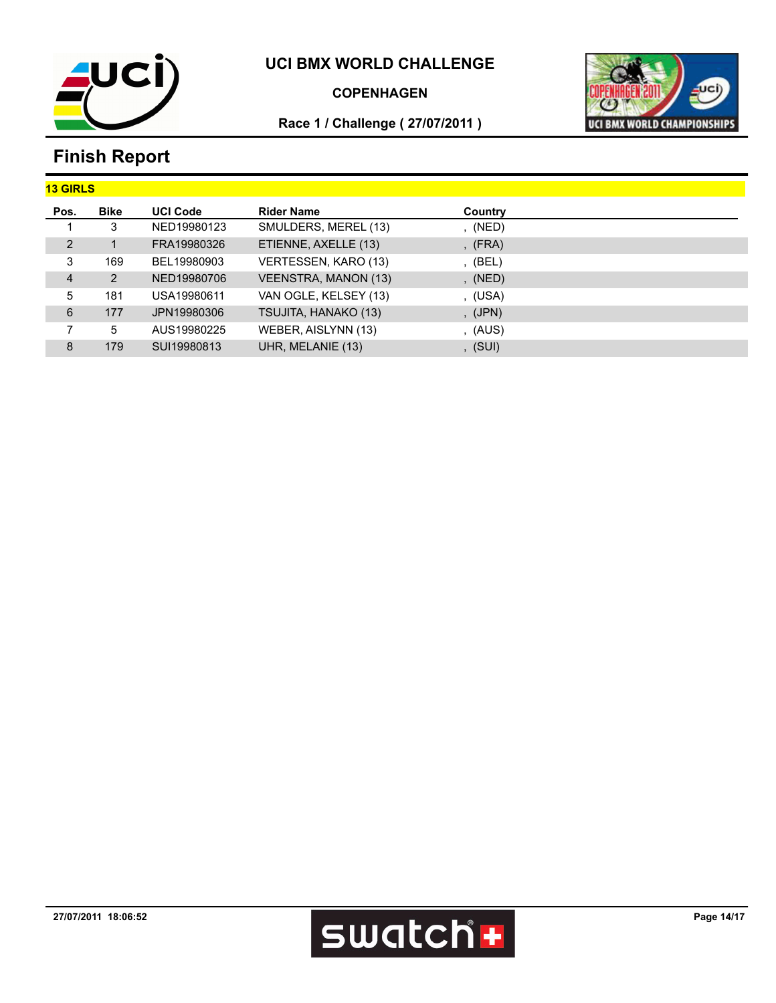

#### **COPENHAGEN**



### **Race 1 / Challenge ( 27/07/2011 )**

| <b>13 GIRLS</b> |             |                 |                       |         |  |
|-----------------|-------------|-----------------|-----------------------|---------|--|
| Pos.            | <b>Bike</b> | <b>UCI Code</b> | <b>Rider Name</b>     | Country |  |
|                 | 3           | NED19980123     | SMULDERS, MEREL (13)  | , (NED) |  |
| 2               |             | FRA19980326     | ETIENNE, AXELLE (13)  | , (FRA) |  |
| 3               | 169         | BEL19980903     | VERTESSEN, KARO (13)  | (BEL)   |  |
| $\overline{4}$  | 2           | NED19980706     | VEENSTRA, MANON (13)  | , (NED) |  |
| 5               | 181         | USA19980611     | VAN OGLE, KELSEY (13) | , (USA) |  |
| 6               | 177         | JPN19980306     | TSUJITA, HANAKO (13)  | , (JPN) |  |
|                 | 5           | AUS19980225     | WEBER, AISLYNN (13)   | , (AUS) |  |
| 8               | 179         | SUI19980813     | UHR, MELANIE (13)     | (SUI)   |  |

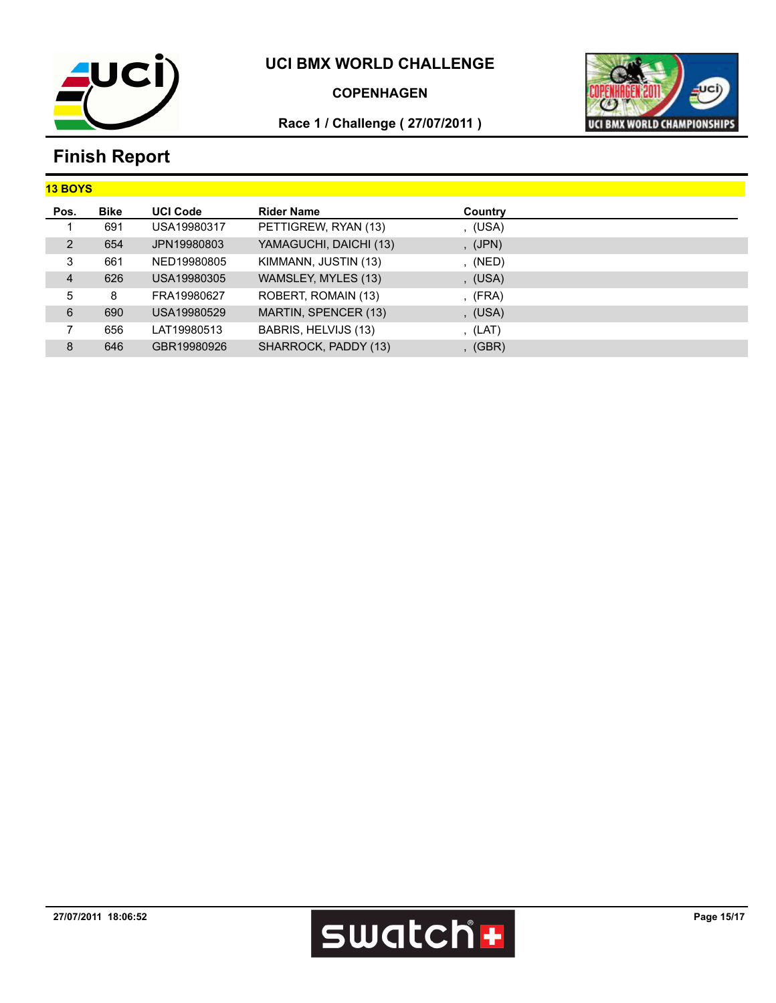

#### **COPENHAGEN**



### **Race 1 / Challenge ( 27/07/2011 )**

| <b>13 BOYS</b> |             |                 |                        |         |  |
|----------------|-------------|-----------------|------------------------|---------|--|
| Pos.           | <b>Bike</b> | <b>UCI Code</b> | <b>Rider Name</b>      | Country |  |
|                | 691         | USA19980317     | PETTIGREW, RYAN (13)   | , (USA) |  |
| 2              | 654         | JPN19980803     | YAMAGUCHI, DAICHI (13) | , (JPN) |  |
| 3              | 661         | NED19980805     | KIMMANN, JUSTIN (13)   | , (NED) |  |
| $\overline{4}$ | 626         | USA19980305     | WAMSLEY, MYLES (13)    | , (USA) |  |
| 5              | 8           | FRA19980627     | ROBERT, ROMAIN (13)    | , (FRA) |  |
| 6              | 690         | USA19980529     | MARTIN, SPENCER (13)   | , (USA) |  |
|                | 656         | LAT19980513     | BABRIS, HELVIJS (13)   | , (LAT) |  |
| 8              | 646         | GBR19980926     | SHARROCK, PADDY (13)   | (GBR)   |  |

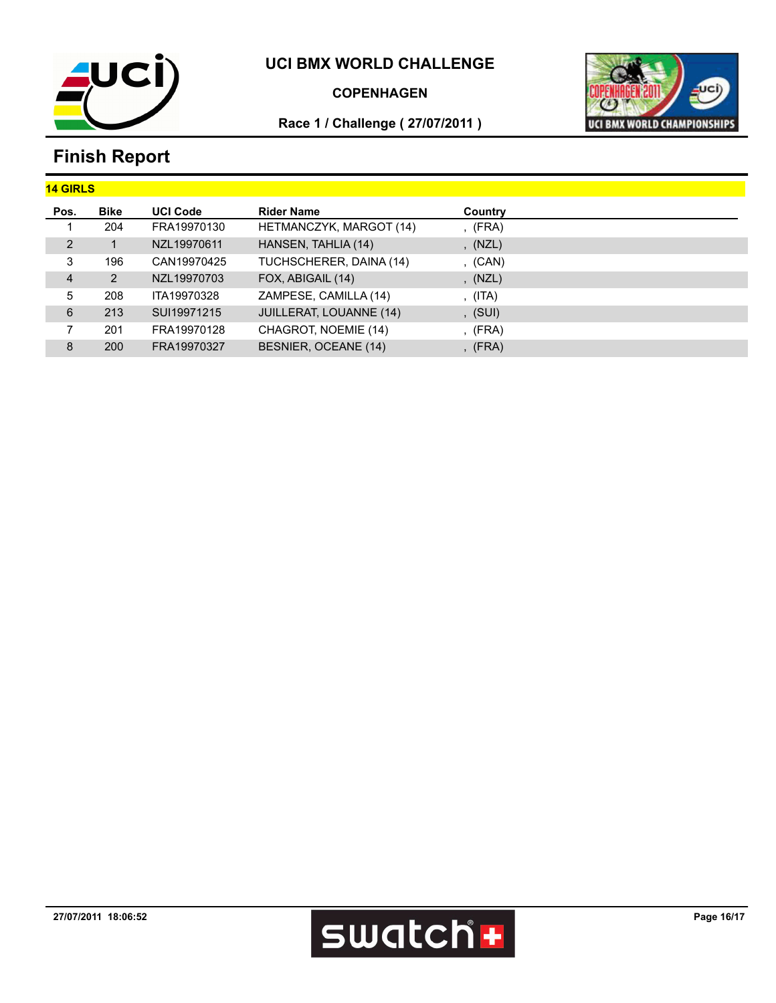

#### **COPENHAGEN**



### **Race 1 / Challenge ( 27/07/2011 )**

| <b>14 GIRLS</b> |             |                 |                                |         |  |
|-----------------|-------------|-----------------|--------------------------------|---------|--|
| Pos.            | <b>Bike</b> | <b>UCI Code</b> | <b>Rider Name</b>              | Country |  |
|                 | 204         | FRA19970130     | HETMANCZYK, MARGOT (14)        | , (FRA) |  |
| 2               |             | NZL19970611     | HANSEN, TAHLIA (14)            | , (NZL) |  |
| 3               | 196         | CAN19970425     | TUCHSCHERER, DAINA (14)        | , (CAN) |  |
| $\overline{4}$  | 2           | NZL19970703     | FOX, ABIGAIL (14)              | , (NZL) |  |
| 5               | 208         | ITA19970328     | ZAMPESE, CAMILLA (14)          | , (ITA) |  |
| 6               | 213         | SUI19971215     | <b>JUILLERAT, LOUANNE (14)</b> | , (SUI) |  |
|                 | 201         | FRA19970128     | CHAGROT, NOEMIE (14)           | (FRA)   |  |
| 8               | 200         | FRA19970327     | BESNIER, OCEANE (14)           | (FRA)   |  |